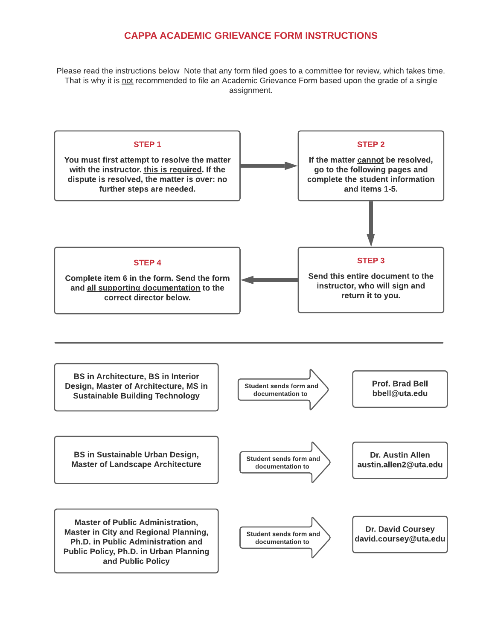# CAPPA ACADEMIC GRIEVANCE FORM INSTRUCTIONS

Please read the instructions below Note that any form filed goes to a committee for review, which takes time. That is why it is not recommended to file an Academic Grievance Form based upon the grade of a single assignment.

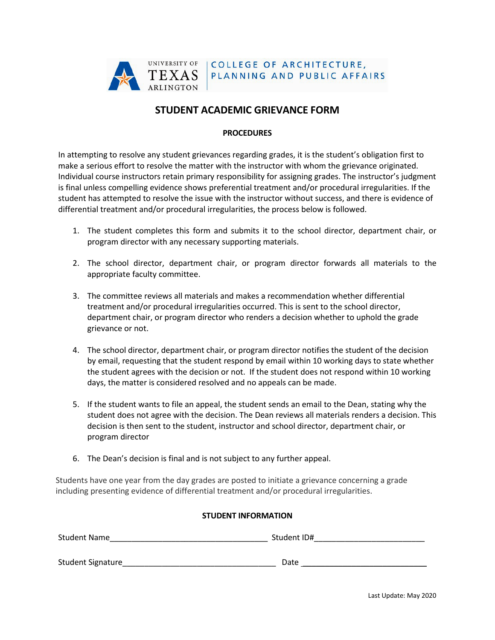

# **STUDENT ACADEMIC GRIEVANCE FORM**

### **PROCEDURES**

In attempting to resolve any student grievances regarding grades, it is the student's obligation first to make a serious effort to resolve the matter with the instructor with whom the grievance originated. Individual course instructors retain primary responsibility for assigning grades. The instructor's judgment is final unless compelling evidence shows preferential treatment and/or procedural irregularities. If the student has attempted to resolve the issue with the instructor without success, and there is evidence of differential treatment and/or procedural irregularities, the process below is followed.

- 1. The student completes this form and submits it to the school director, department chair, or program director with any necessary supporting materials.
- 2. The school director, department chair, or program director forwards all materials to the appropriate faculty committee.
- 3. The committee reviews all materials and makes a recommendation whether differential treatment and/or procedural irregularities occurred. This is sent to the school director, department chair, or program director who renders a decision whether to uphold the grade grievance or not.
- 4. The school director, department chair, or program director notifies the student of the decision by email, requesting that the student respond by email within 10 working days to state whether the student agrees with the decision or not. If the student does not respond within 10 working days, the matter is considered resolved and no appeals can be made.
- 5. If the student wants to file an appeal, the student sends an email to the Dean, stating why the student does not agree with the decision. The Dean reviews all materials renders a decision. This decision is then sent to the student, instructor and school director, department chair, or program director
- 6. The Dean's decision is final and is not subject to any further appeal.

Students have one year from the day grades are posted to initiate a grievance concerning a grade including presenting evidence of differential treatment and/or procedural irregularities.

## **STUDENT INFORMATION**

| <b>Student Name</b> | Student ID# |
|---------------------|-------------|
| Student Signature_  | Date        |